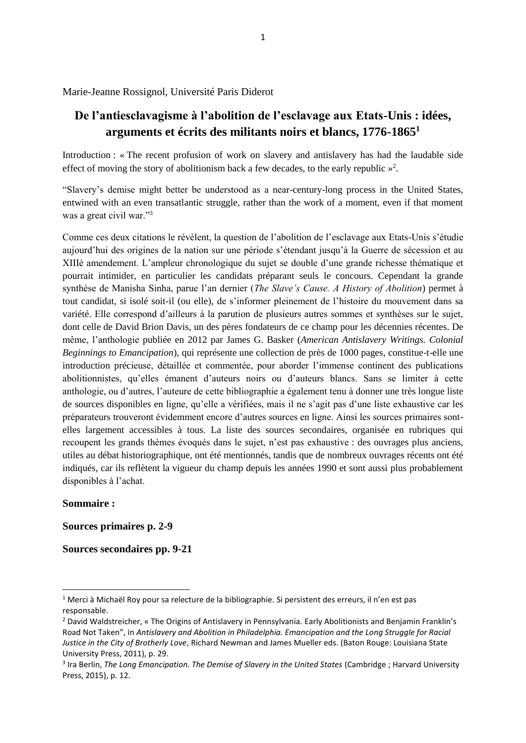Marie-Jeanne Rossignol, Université Paris Diderot

# **De l'antiesclavagisme à l'abolition de l'esclavage aux Etats-Unis : idées, arguments et écrits des militants noirs et blancs, 1776-1865<sup>1</sup>**

Introduction : « The recent profusion of work on slavery and antislavery has had the laudable side effect of moving the story of abolitionism back a few decades, to the early republic  $\frac{1}{2}$ .

"Slavery's demise might better be understood as a near-century-long process in the United States, entwined with an even transatlantic struggle, rather than the work of a moment, even if that moment was a great civil war."<sup>3</sup>

Comme ces deux citations le révèlent, la question de l'abolition de l'esclavage aux Etats-Unis s'étudie aujourd'hui des origines de la nation sur une période s'étendant jusqu'à la Guerre de sécession et au XIIIè amendement. L'ampleur chronologique du sujet se double d'une grande richesse thématique et pourrait intimider, en particulier les candidats préparant seuls le concours. Cependant la grande synthèse de Manisha Sinha, parue l'an dernier (*The Slave's Cause. A History of Abolition*) permet à tout candidat, si isolé soit-il (ou elle), de s'informer pleinement de l'histoire du mouvement dans sa variété. Elle correspond d'ailleurs à la parution de plusieurs autres sommes et synthèses sur le sujet, dont celle de David Brion Davis, un des pères fondateurs de ce champ pour les décennies récentes. De même, l'anthologie publiée en 2012 par James G. Basker (*American Antislavery Writings. Colonial Beginnings to Emancipation*), qui représente une collection de près de 1000 pages, constitue-t-elle une introduction précieuse, détaillée et commentée, pour aborder l'immense continent des publications abolitionnistes, qu'elles émanent d'auteurs noirs ou d'auteurs blancs. Sans se limiter à cette anthologie, ou d'autres, l'auteure de cette bibliographie a également tenu à donner une très longue liste de sources disponibles en ligne, qu'elle a vérifiées, mais il ne s'agit pas d'une liste exhaustive car les préparateurs trouveront évidemment encore d'autres sources en ligne. Ainsi les sources primaires sontelles largement accessibles à tous. La liste des sources secondaires, organisée en rubriques qui recoupent les grands thèmes évoqués dans le sujet, n'est pas exhaustive : des ouvrages plus anciens, utiles au débat historiographique, ont été mentionnés, tandis que de nombreux ouvrages récents ont été indiqués, car ils reflètent la vigueur du champ depuis les années 1990 et sont aussi plus probablement disponibles à l'achat.

### **Sommaire :**

1

**Sources primaires p. 2-9**

**Sources secondaires pp. 9-21**

<sup>&</sup>lt;sup>1</sup> Merci à Michaël Roy pour sa relecture de la bibliographie. Si persistent des erreurs, il n'en est pas responsable.

<sup>&</sup>lt;sup>2</sup> David Waldstreicher, « The Origins of Antislavery in Pennsylvania. Early Abolitionists and Benjamin Franklin's Road Not Taken", in *Antislavery and Abolition in Philadelphia. Emancipation and the Long Struggle for Racial Justice in the City of Brotherly Love*, Richard Newman and James Mueller eds. (Baton Rouge: Louisiana State University Press, 2011), p. 29.

<sup>3</sup> Ira Berlin, *The Long Emancipation. The Demise of Slavery in the United States* (Cambridge ; Harvard University Press, 2015), p. 12.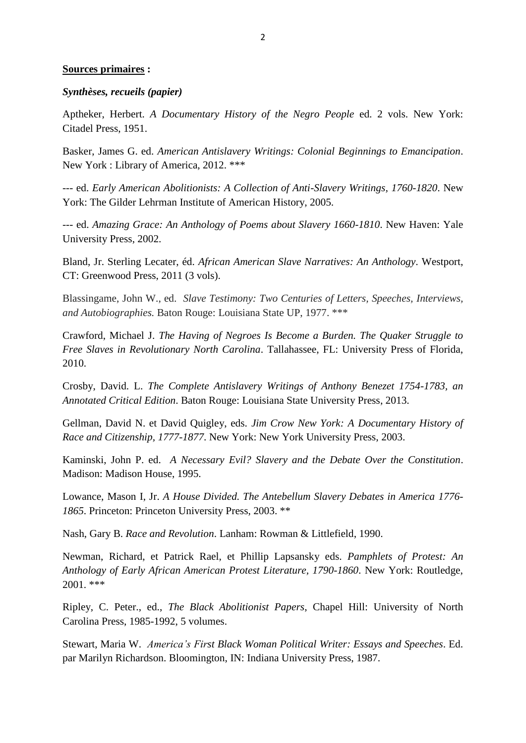### **Sources primaires :**

### *Synthèses, recueils (papier)*

Aptheker, Herbert. *A Documentary History of the Negro People* ed. 2 vols. New York: Citadel Press, 1951.

Basker, James G. ed. *American Antislavery Writings: Colonial Beginnings to Emancipation*. New York : Library of America, 2012. \*\*\*

--- ed. *Early American Abolitionists: A Collection of Anti-Slavery Writings, 1760-1820*. New York: The Gilder Lehrman Institute of American History, 2005.

--- ed. *Amazing Grace: An Anthology of Poems about Slavery 1660-1810*. New Haven: Yale University Press, 2002.

Bland, Jr. Sterling Lecater, éd. *African American Slave Narratives: An Anthology*. Westport, CT: Greenwood Press, 2011 (3 vols).

Blassingame, John W., ed. *Slave Testimony: Two Centuries of Letters, Speeches, Interviews, and Autobiographies.* Baton Rouge: Louisiana State UP, 1977. \*\*\*

Crawford, Michael J. *The Having of Negroes Is Become a Burden. The Quaker Struggle to Free Slaves in Revolutionary North Carolina*. Tallahassee, FL: University Press of Florida, 2010.

Crosby, David. L. *The Complete Antislavery Writings of Anthony Benezet 1754-1783, an Annotated Critical Edition*. Baton Rouge: Louisiana State University Press, 2013.

Gellman, David N. et David Quigley, eds. *Jim Crow New York: A Documentary History of Race and Citizenship, 1777-1877*. New York: New York University Press, 2003.

Kaminski, John P. ed. *A Necessary Evil? Slavery and the Debate Over the Constitution*. Madison: Madison House, 1995.

Lowance, Mason I, Jr. *A House Divided. The Antebellum Slavery Debates in America 1776- 1865*. Princeton: Princeton University Press, 2003. \*\*

Nash, Gary B. *Race and Revolution*. Lanham: Rowman & Littlefield, 1990.

Newman, Richard, et Patrick Rael, et Phillip Lapsansky eds. *Pamphlets of Protest: An Anthology of Early African American Protest Literature, 1790-1860*. New York: Routledge, 2001. \*\*\*

Ripley, C. Peter., ed., *The Black Abolitionist Papers*, Chapel Hill: University of North Carolina Press, 1985-1992, 5 volumes.

Stewart, Maria W. *America's First Black Woman Political Writer: Essays and Speeches*. Ed. par Marilyn Richardson. Bloomington, IN: Indiana University Press, 1987.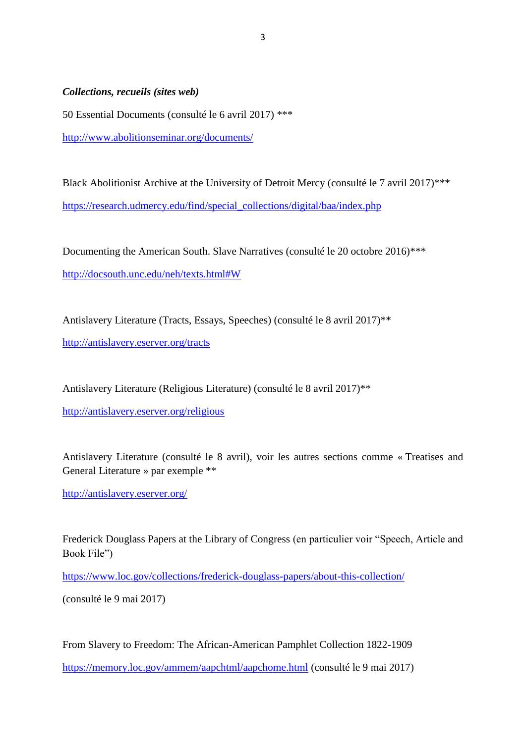*Collections, recueils (sites web)*

50 Essential Documents (consulté le 6 avril 2017) \*\*\* <http://www.abolitionseminar.org/documents/>

Black Abolitionist Archive at the University of Detroit Mercy (consulté le 7 avril 2017)\*\*\* [https://research.udmercy.edu/find/special\\_collections/digital/baa/index.php](https://research.udmercy.edu/find/special_collections/digital/baa/index.php)

Documenting the American South. Slave Narratives (consulté le 20 octobre 2016)\*\*\* <http://docsouth.unc.edu/neh/texts.html#W>

Antislavery Literature (Tracts, Essays, Speeches) (consulté le 8 avril 2017)\*\* <http://antislavery.eserver.org/tracts>

Antislavery Literature (Religious Literature) (consulté le 8 avril 2017)\*\*

<http://antislavery.eserver.org/religious>

Antislavery Literature (consulté le 8 avril), voir les autres sections comme « Treatises and General Literature » par exemple \*\*

<http://antislavery.eserver.org/>

Frederick Douglass Papers at the Library of Congress (en particulier voir "Speech, Article and Book File")

<https://www.loc.gov/collections/frederick-douglass-papers/about-this-collection/>

(consulté le 9 mai 2017)

From Slavery to Freedom: The African-American Pamphlet Collection 1822-1909

<https://memory.loc.gov/ammem/aapchtml/aapchome.html> (consulté le 9 mai 2017)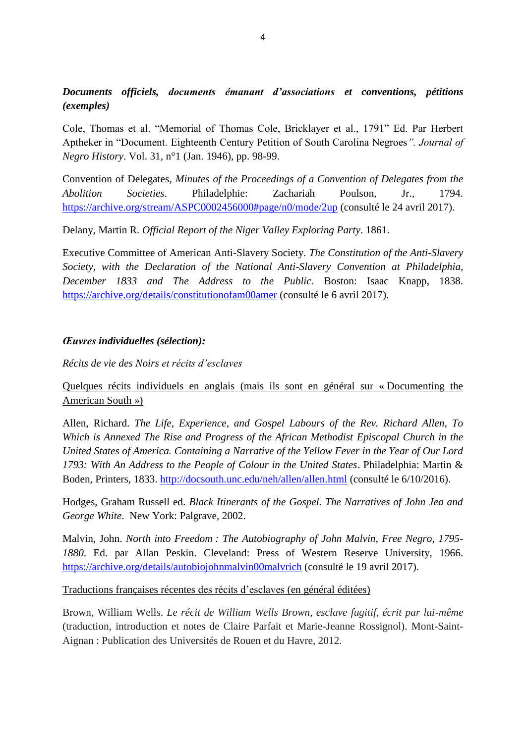# *Documents officiels, documents émanant d'associations et conventions, pétitions (exemples)*

Cole, Thomas et al. "Memorial of Thomas Cole, Bricklayer et al., 1791" Ed. Par Herbert Aptheker in "Document. Eighteenth Century Petition of South Carolina Negroes*". Journal of Negro History*. Vol. 31, n°1 (Jan. 1946), pp. 98-99.

Convention of Delegates, *Minutes of the Proceedings of a Convention of Delegates from the Abolition Societies*. Philadelphie: Zachariah Poulson, Jr., 1794. <https://archive.org/stream/ASPC0002456000#page/n0/mode/2up> (consulté le 24 avril 2017).

Delany, Martin R. *Official Report of the Niger Valley Exploring Party*. 1861.

Executive Committee of American Anti-Slavery Society. *The Constitution of the Anti-Slavery Society, with the Declaration of the National Anti-Slavery Convention at Philadelphia, December 1833 and The Address to the Public*. Boston: Isaac Knapp, 1838. <https://archive.org/details/constitutionofam00amer> (consulté le 6 avril 2017).

## *Œuvres individuelles (sélection):*

*Récits de vie des Noirs et récits d'esclaves*

# Quelques récits individuels en anglais (mais ils sont en général sur « Documenting the American South »)

Allen, Richard. *The Life, Experience, and Gospel Labours of the Rev. Richard Allen, To Which is Annexed The Rise and Progress of the African Methodist Episcopal Church in the United States of America. Containing a Narrative of the Yellow Fever in the Year of Our Lord 1793: With An Address to the People of Colour in the United States*. Philadelphia: Martin & Boden, Printers, 1833.<http://docsouth.unc.edu/neh/allen/allen.html> (consulté le 6/10/2016).

Hodges, Graham Russell ed. *Black Itinerants of the Gospel. The Narratives of John Jea and George White*. New York: Palgrave, 2002.

Malvin, John. *North into Freedom : The Autobiography of John Malvin, Free Negro, 1795- 1880*. Ed. par Allan Peskin. Cleveland: Press of Western Reserve University, 1966. <https://archive.org/details/autobiojohnmalvin00malvrich> (consulté le 19 avril 2017).

## Traductions françaises récentes des récits d'esclaves (en général éditées)

Brown, William Wells. *Le récit de William Wells Brown, esclave fugitif, écrit par lui-même* (traduction, introduction et notes de Claire Parfait et Marie-Jeanne Rossignol). Mont-Saint-Aignan : Publication des Universités de Rouen et du Havre, 2012.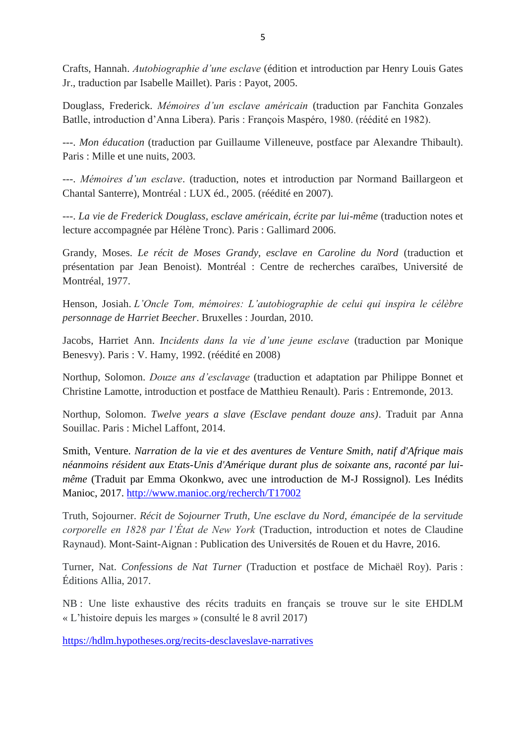Crafts, Hannah. *Autobiographie d'une esclave* (édition et introduction par Henry Louis Gates Jr., traduction par Isabelle Maillet). Paris : Payot, 2005.

Douglass, Frederick. *Mémoires d'un esclave américain* (traduction par Fanchita Gonzales Batlle, introduction d'Anna Libera). Paris : François Maspéro, 1980. (réédité en 1982).

---. *Mon éducation* (traduction par Guillaume Villeneuve, postface par Alexandre Thibault). Paris : Mille et une nuits, 2003.

---. *Mémoires d'un esclave*. (traduction, notes et introduction par Normand Baillargeon et Chantal Santerre), Montréal : LUX éd., 2005. (réédité en 2007).

---. *La vie de Frederick Douglass, esclave américain, écrite par lui-même* (traduction notes et lecture accompagnée par Hélène Tronc). Paris : Gallimard 2006.

Grandy, Moses. *Le récit de Moses Grandy, esclave en Caroline du Nord* (traduction et présentation par Jean Benoist). Montréal : Centre de recherches caraïbes, Université de Montréal, 1977.

Henson, Josiah. *L'Oncle Tom, mémoires: L'autobiographie de celui qui inspira le célèbre personnage de Harriet Beecher*. Bruxelles : Jourdan, 2010.

Jacobs, Harriet Ann. *Incidents dans la vie d'une jeune esclave* (traduction par Monique Benesvy). Paris : V. Hamy, 1992. (réédité en 2008)

Northup, Solomon. *Douze ans d'esclavage* (traduction et adaptation par Philippe Bonnet et Christine Lamotte, introduction et postface de Matthieu Renault). Paris : Entremonde, 2013.

Northup, Solomon. *Twelve years a slave (Esclave pendant douze ans)*. Traduit par Anna Souillac. Paris : Michel Laffont, 2014.

Smith, Venture. *Narration [de la vie et des aventures de Venture Smith, natif d'Afrique mais](javascript:Show()  [néanmoins résident aux Etats-Unis d'Amérique durant plus de soixante ans, raconté par lui](javascript:Show()[même](javascript:Show()* (Traduit par Emma Okonkwo, avec une introduction de M-J Rossignol). Les Inédits Manioc, 2017.<http://www.manioc.org/recherch/T17002>

Truth, Sojourner. *Récit de Sojourner Truth, Une esclave du Nord, émancipée de la servitude corporelle en 1828 par l'État de New York* (Traduction, introduction et notes de Claudine Raynaud). Mont-Saint-Aignan : Publication des Universités de Rouen et du Havre, 2016.

Turner, Nat. *Confessions de Nat Turner* (Traduction et postface de Michaël Roy). Paris : Éditions Allia, 2017.

NB : Une liste exhaustive des récits traduits en français se trouve sur le site EHDLM « L'histoire depuis les marges » (consulté le 8 avril 2017)

<https://hdlm.hypotheses.org/recits-desclaveslave-narratives>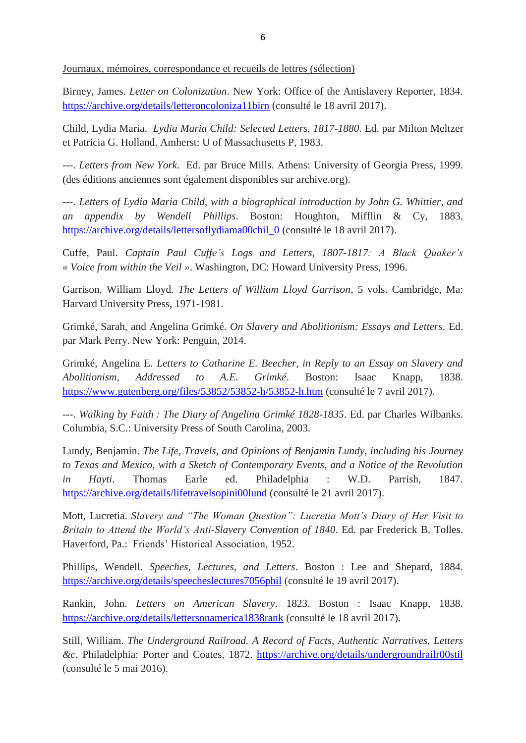Journaux, mémoires, correspondance et recueils de lettres (sélection)

Birney, James. *Letter on Colonization*. New York: Office of the Antislavery Reporter, 1834. <https://archive.org/details/letteroncoloniza11birn> (consulté le 18 avril 2017).

Child, Lydia Maria. *Lydia Maria Child: Selected Letters, 1817-1880*. Ed. par Milton Meltzer et Patricia G. Holland. Amherst: U of Massachusetts P, 1983.

---. *Letters from New York*. Ed. par Bruce Mills. Athens: University of Georgia Press, 1999. (des éditions anciennes sont également disponibles sur archive.org).

---. *Letters of Lydia Maria Child, with a biographical introduction by John G. Whittier, and an appendix by Wendell Phillips*. Boston: Houghton, Mifflin & Cy, 1883. [https://archive.org/details/lettersoflydiama00chil\\_0](https://archive.org/details/lettersoflydiama00chil_0) (consulté le 18 avril 2017).

Cuffe, Paul. *Captain Paul Cuffe's Logs and Letters, 1807-1817: A Black Quaker's « Voice from within the Veil »*. Washington, DC: Howard University Press, 1996.

Garrison, William Lloyd. *The Letters of William Lloyd Garrison*, 5 vols. Cambridge, Ma: Harvard University Press, 1971-1981.

Grimké, Sarah, and Angelina Grimké. *On Slavery and Abolitionism: Essays and Letters*. Ed. par Mark Perry. New York: Penguin, 2014.

Grimké, Angelina E. *Letters to Catharine E. Beecher, in Reply to an Essay on Slavery and Abolitionism, Addressed to A.E. Grimké*. Boston: Isaac Knapp, 1838. <https://www.gutenberg.org/files/53852/53852-h/53852-h.htm> (consulté le 7 avril 2017).

---. *Walking by Faith : The Diary of Angelina Grimké 1828-1835*. Ed. par Charles Wilbanks. Columbia, S.C.: University Press of South Carolina, 2003.

Lundy, Benjamin. *The Life, Travels, and Opinions of Benjamin Lundy, including his Journey to Texas and Mexico, with a Sketch of Contemporary Events, and a Notice of the Revolution in Hayti*. Thomas Earle ed. Philadelphia : W.D. Parrish, 1847. <https://archive.org/details/lifetravelsopini00lund> (consulté le 21 avril 2017).

Mott, Lucretia. *Slavery and "The Woman Question": Lucretia Mott's Diary of Her Visit to Britain to Attend the World's Anti-Slavery Convention of 1840*. Ed. par Frederick B. Tolles. Haverford, Pa.: Friends' Historical Association, 1952.

Phillips, Wendell. *Speeches, Lectures, and Letters*. Boston : Lee and Shepard, 1884. <https://archive.org/details/speecheslectures7056phil> (consulté le 19 avril 2017).

Rankin, John. *Letters on American Slavery*. 1823. Boston : Isaac Knapp, 1838. <https://archive.org/details/lettersonamerica1838rank> (consulté le 18 avril 2017).

Still, William. *The Underground Railroad. A Record of Facts, Authentic Narratives, Letters &c*. Philadelphia: Porter and Coates, 1872. <https://archive.org/details/undergroundrailr00stil> (consulté le 5 mai 2016).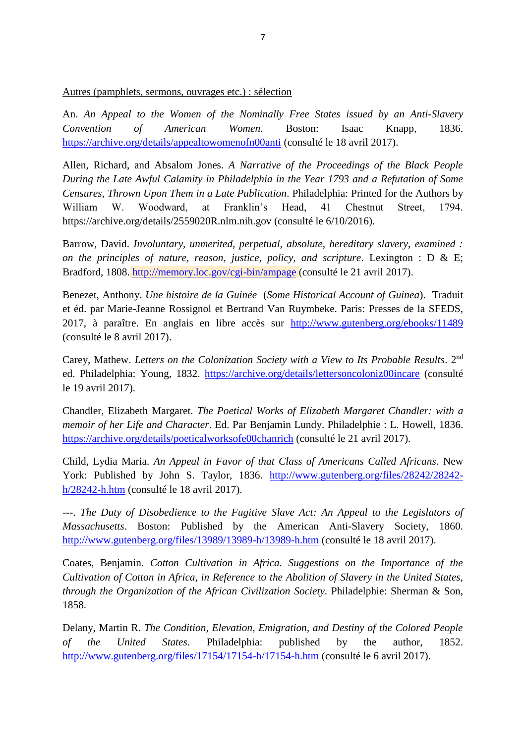Autres (pamphlets, sermons, ouvrages etc.) : sélection

An. *An Appeal to the Women of the Nominally Free States issued by an Anti-Slavery Convention of American Women*. Boston: Isaac Knapp, 1836. <https://archive.org/details/appealtowomenofn00anti> (consulté le 18 avril 2017).

Allen, Richard, and Absalom Jones. *A Narrative of the Proceedings of the Black People During the Late Awful Calamity in Philadelphia in the Year 1793 and a Refutation of Some Censures, Thrown Upon Them in a Late Publication*. Philadelphia: Printed for the Authors by William W. Woodward, at Franklin's Head, 41 Chestnut Street, 1794. https://archive.org/details/2559020R.nlm.nih.gov (consulté le 6/10/2016).

Barrow, David. *Involuntary, unmerited, perpetual, absolute, hereditary slavery, examined : on the principles of nature, reason, justice, policy, and scripture*. Lexington : D & E; Bradford, 1808. <http://memory.loc.gov/cgi-bin/ampage> (consulté le 21 avril 2017).

Benezet, Anthony. *Une histoire de la Guinée* (*Some Historical Account of Guinea*). Traduit et éd. par Marie-Jeanne Rossignol et Bertrand Van Ruymbeke. Paris: Presses de la SFEDS, 2017, à paraître. En anglais en libre accès sur <http://www.gutenberg.org/ebooks/11489> (consulté le 8 avril 2017).

Carey, Mathew. *Letters on the Colonization Society with a View to Its Probable Results*. 2nd ed. Philadelphia: Young, 1832.<https://archive.org/details/lettersoncoloniz00incare> (consulté le 19 avril 2017).

Chandler, Elizabeth Margaret. *The Poetical Works of Elizabeth Margaret Chandler: with a memoir of her Life and Character*. Ed. Par Benjamin Lundy. Philadelphie : L. Howell, 1836. <https://archive.org/details/poeticalworksofe00chanrich> (consulté le 21 avril 2017).

Child, Lydia Maria. *An Appeal in Favor of that Class of Americans Called Africans*. New York: Published by John S. Taylor, 1836. [http://www.gutenberg.org/files/28242/28242](http://www.gutenberg.org/files/28242/28242-h/28242-h.htm) [h/28242-h.htm](http://www.gutenberg.org/files/28242/28242-h/28242-h.htm) (consulté le 18 avril 2017).

---. *The Duty of Disobedience to the Fugitive Slave Act: An Appeal to the Legislators of Massachusetts*. Boston: Published by the American Anti-Slavery Society, 1860. <http://www.gutenberg.org/files/13989/13989-h/13989-h.htm> (consulté le 18 avril 2017).

Coates, Benjamin. *Cotton Cultivation in Africa. Suggestions on the Importance of the Cultivation of Cotton in Africa, in Reference to the Abolition of Slavery in the United States, through the Organization of the African Civilization Society*. Philadelphie: Sherman & Son, 1858.

Delany, Martin R. *The Condition, Elevation, Emigration, and Destiny of the Colored People of the United States*. Philadelphia: published by the author, 1852. <http://www.gutenberg.org/files/17154/17154-h/17154-h.htm> (consulté le 6 avril 2017).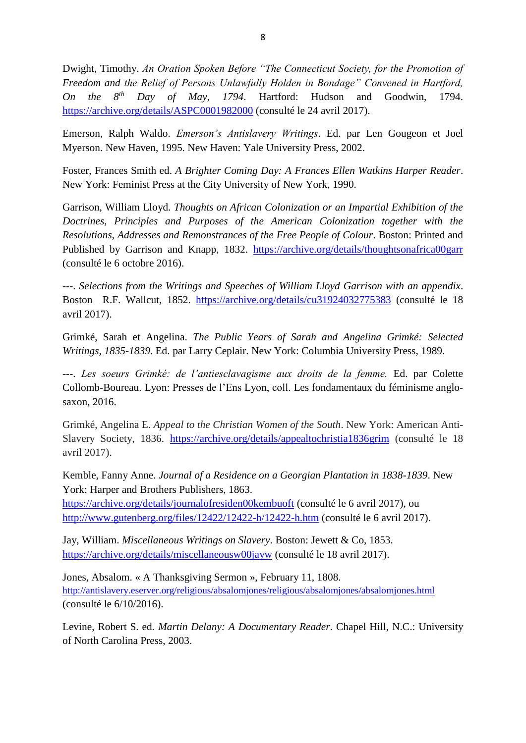Dwight, Timothy. *An Oration Spoken Before "The Connecticut Society, for the Promotion of Freedom and the Relief of Persons Unlawfully Holden in Bondage" Convened in Hartford, On the 8th Day of May, 1794*. Hartford: Hudson and Goodwin, 1794. <https://archive.org/details/ASPC0001982000> (consulté le 24 avril 2017).

Emerson, Ralph Waldo. *Emerson's Antislavery Writings*. Ed. par Len Gougeon et Joel Myerson. New Haven, 1995. New Haven: Yale University Press, 2002.

Foster, Frances Smith ed. *A Brighter Coming Day: A Frances Ellen Watkins Harper Reader*. New York: Feminist Press at the City University of New York, 1990.

Garrison, William Lloyd. *Thoughts on African Colonization or an Impartial Exhibition of the Doctrines, Principles and Purposes of the American Colonization together with the Resolutions, Addresses and Remonstrances of the Free People of Colour*. Boston: Printed and Published by Garrison and Knapp, 1832. <https://archive.org/details/thoughtsonafrica00garr> (consulté le 6 octobre 2016).

---. *Selections from the Writings and Speeches of William Lloyd Garrison with an appendix*. Boston R.F. Wallcut, 1852. <https://archive.org/details/cu31924032775383> (consulté le 18 avril 2017).

Grimké, Sarah et Angelina. *The Public Years of Sarah and Angelina Grimké: Selected Writings, 1835-1839*. Ed. par Larry Ceplair. New York: Columbia University Press, 1989.

---. *Les soeurs Grimké: de l'antiesclavagisme aux droits de la femme.* Ed. par Colette Collomb-Boureau. Lyon: Presses de l'Ens Lyon, coll. Les fondamentaux du féminisme anglosaxon, 2016.

Grimké, Angelina E. *Appeal to the Christian Women of the South*. New York: American Anti-Slavery Society, 1836. <https://archive.org/details/appealtochristia1836grim> (consulté le 18 avril 2017).

Kemble, Fanny Anne. *Journal of a Residence on a Georgian Plantation in 1838-1839*. New York: Harper and Brothers Publishers, 1863.

<https://archive.org/details/journalofresiden00kembuoft> (consulté le 6 avril 2017), ou <http://www.gutenberg.org/files/12422/12422-h/12422-h.htm> (consulté le 6 avril 2017).

Jay, William. *Miscellaneous Writings on Slavery*. Boston: Jewett & Co, 1853. <https://archive.org/details/miscellaneousw00jayw> (consulté le 18 avril 2017).

Jones, Absalom. « A Thanksgiving Sermon », February 11, 1808. <http://antislavery.eserver.org/religious/absalomjones/religious/absalomjones/absalomjones.html> (consulté le 6/10/2016).

Levine, Robert S. ed. *Martin Delany: A Documentary Reader*. Chapel Hill, N.C.: University of North Carolina Press, 2003.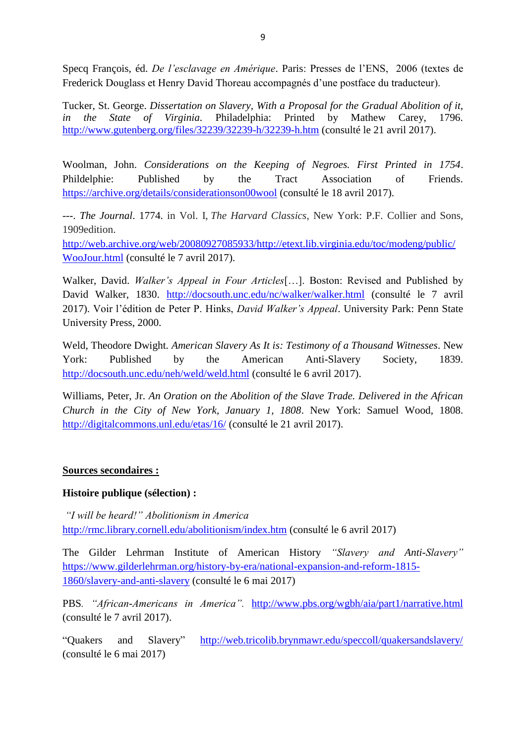Specq François, éd. *De l'esclavage en Amérique*. Paris: Presses de l'ENS, 2006 (textes de Frederick Douglass et Henry David Thoreau accompagnés d'une postface du traducteur).

Tucker, St. George. *Dissertation on Slavery, With a Proposal for the Gradual Abolition of it, in the State of Virginia.* Philadelphia: Printed by Mathew Carey, 1796. <http://www.gutenberg.org/files/32239/32239-h/32239-h.htm> (consulté le 21 avril 2017).

Woolman, John. *Considerations on the Keeping of Negroes. First Printed in 1754*. Phildelphie: Published by the Tract Association of Friends. <https://archive.org/details/considerationson00wool> (consulté le 18 avril 2017).

---. *The Journal*. 1774. in Vol. I, *The Harvard Classics*, New York: P.F. Collier and Sons, 1909edition.

[http://web.archive.org/web/20080927085933/http://etext.lib.virginia.edu/toc/modeng/public/](http://web.archive.org/web/20080927085933/http:/etext.lib.virginia.edu/toc/modeng/public/WooJour.html) [WooJour.html](http://web.archive.org/web/20080927085933/http:/etext.lib.virginia.edu/toc/modeng/public/WooJour.html) (consulté le 7 avril 2017).

Walker, David. *Walker's Appeal in Four Articles*[…]. Boston: Revised and Published by David Walker, 1830. <http://docsouth.unc.edu/nc/walker/walker.html> (consulté le 7 avril 2017). Voir l'édition de Peter P. Hinks, *David Walker's Appeal*. University Park: Penn State University Press, 2000.

Weld, Theodore Dwight. *American Slavery As It is: Testimony of a Thousand Witnesses*. New York: Published by the American Anti-Slavery Society, 1839. <http://docsouth.unc.edu/neh/weld/weld.html> (consulté le 6 avril 2017).

Williams, Peter, Jr. *An Oration on the Abolition of the Slave Trade. Delivered in the African Church in the City of New York, January 1, 1808*. New York: Samuel Wood, 1808. <http://digitalcommons.unl.edu/etas/16/> (consulté le 21 avril 2017).

## **Sources secondaires :**

## **Histoire publique (sélection) :**

*"I will be heard!" Abolitionism in America* <http://rmc.library.cornell.edu/abolitionism/index.htm> (consulté le 6 avril 2017)

The Gilder Lehrman Institute of American History *"Slavery and Anti-Slavery"* [https://www.gilderlehrman.org/history-by-era/national-expansion-and-reform-1815-](https://www.gilderlehrman.org/history-by-era/national-expansion-and-reform-1815-1860/slavery-and-anti-slavery) [1860/slavery-and-anti-slavery](https://www.gilderlehrman.org/history-by-era/national-expansion-and-reform-1815-1860/slavery-and-anti-slavery) (consulté le 6 mai 2017)

PBS*. "African-Americans in America".* <http://www.pbs.org/wgbh/aia/part1/narrative.html> (consulté le 7 avril 2017).

"Quakers and Slavery" <http://web.tricolib.brynmawr.edu/speccoll/quakersandslavery/> (consulté le 6 mai 2017)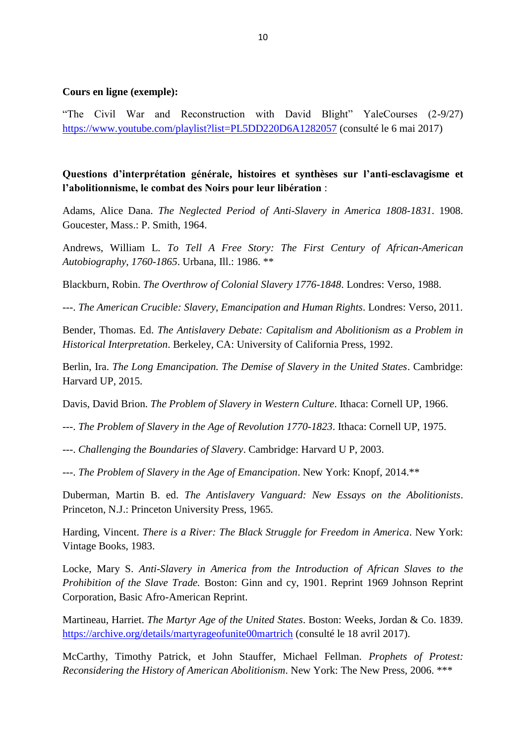### **Cours en ligne (exemple):**

"The Civil War and Reconstruction with David Blight" YaleCourses (2-9/27) <https://www.youtube.com/playlist?list=PL5DD220D6A1282057> (consulté le 6 mai 2017)

## **Questions d'interprétation générale, histoires et synthèses sur l'anti-esclavagisme et l'abolitionnisme, le combat des Noirs pour leur libération** :

Adams, Alice Dana. *The Neglected Period of Anti-Slavery in America 1808-1831*. 1908. Goucester, Mass.: P. Smith, 1964.

Andrews, William L. *To Tell A Free Story: The First Century of African-American Autobiography, 1760-1865*. Urbana, Ill.: 1986. \*\*

Blackburn, Robin. *The Overthrow of Colonial Slavery 1776-1848*. Londres: Verso, 1988.

---. *The American Crucible: Slavery, Emancipation and Human Rights*. Londres: Verso, 2011.

Bender, Thomas. Ed. *The Antislavery Debate: Capitalism and Abolitionism as a Problem in Historical Interpretation*. Berkeley, CA: University of California Press, 1992.

Berlin, Ira. *The Long Emancipation. The Demise of Slavery in the United States*. Cambridge: Harvard UP, 2015.

Davis, David Brion. *The Problem of Slavery in Western Culture*. Ithaca: Cornell UP, 1966.

- ---. *The Problem of Slavery in the Age of Revolution 1770-1823*. Ithaca: Cornell UP, 1975.
- ---. *Challenging the Boundaries of Slavery*. Cambridge: Harvard U P, 2003.

---. *The Problem of Slavery in the Age of Emancipation*. New York: Knopf, 2014.\*\*

Duberman, Martin B. ed. *The Antislavery Vanguard: New Essays on the Abolitionists*. Princeton, N.J.: Princeton University Press, 1965.

Harding, Vincent. *There is a River: The Black Struggle for Freedom in America*. New York: Vintage Books, 1983.

Locke, Mary S. *Anti-Slavery in America from the Introduction of African Slaves to the Prohibition of the Slave Trade.* Boston: Ginn and cy, 1901. Reprint 1969 Johnson Reprint Corporation, Basic Afro-American Reprint.

Martineau, Harriet. *The Martyr Age of the United States*. Boston: Weeks, Jordan & Co. 1839. <https://archive.org/details/martyrageofunite00martrich> (consulté le 18 avril 2017).

McCarthy, Timothy Patrick, et John Stauffer, Michael Fellman. *Prophets of Protest: Reconsidering the History of American Abolitionism*. New York: The New Press, 2006. \*\*\*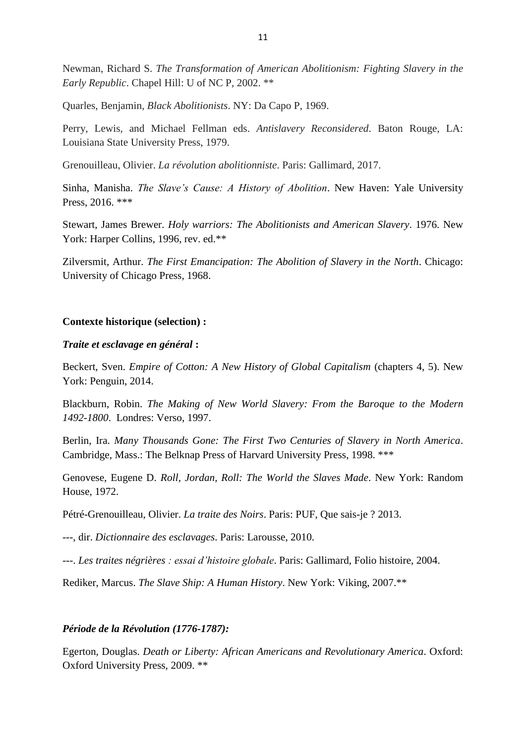Newman, Richard S. *The Transformation of American Abolitionism: Fighting Slavery in the Early Republic*. Chapel Hill: U of NC P, 2002. \*\*

Quarles, Benjamin, *Black Abolitionists*. NY: Da Capo P, 1969.

Perry, Lewis, and Michael Fellman eds. *Antislavery Reconsidered*. Baton Rouge, LA: Louisiana State University Press, 1979.

Grenouilleau, Olivier. *La révolution abolitionniste*. Paris: Gallimard, 2017.

Sinha, Manisha. *The Slave's Cause: A History of Abolition*. New Haven: Yale University Press, 2016. \*\*\*

Stewart, James Brewer. *Holy warriors: The Abolitionists and American Slavery*. 1976. New York: Harper Collins, 1996, rev. ed.\*\*

Zilversmit, Arthur. *The First Emancipation: The Abolition of Slavery in the North*. Chicago: University of Chicago Press, 1968.

#### **Contexte historique (selection) :**

### *Traite et esclavage en général* **:**

Beckert, Sven. *Empire of Cotton: A New History of Global Capitalism* (chapters 4, 5). New York: Penguin, 2014.

Blackburn, Robin. *The Making of New World Slavery: From the Baroque to the Modern 1492-1800*. Londres: Verso, 1997.

Berlin, Ira. *Many Thousands Gone: The First Two Centuries of Slavery in North America*. Cambridge, Mass.: The Belknap Press of Harvard University Press, 1998. \*\*\*

Genovese, Eugene D. *Roll, Jordan, Roll: The World the Slaves Made*. New York: Random House, 1972.

Pétré-Grenouilleau, Olivier. *La traite des Noirs*. Paris: PUF, Que sais-je ? 2013.

---, dir. *Dictionnaire des esclavages*. Paris: Larousse, 2010.

---. *Les traites négrières : essai d'histoire globale*. Paris: Gallimard, Folio histoire, 2004.

Rediker, Marcus. *The Slave Ship: A Human History*. New York: Viking, 2007.\*\*

#### *Période de la Révolution (1776-1787):*

Egerton, Douglas. *Death or Liberty: African Americans and Revolutionary America*. Oxford: Oxford University Press, 2009. \*\*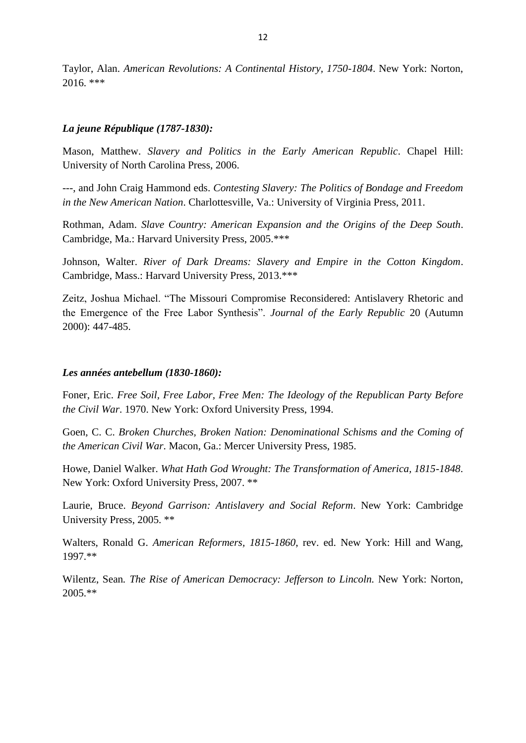Taylor, Alan. *American Revolutions: A Continental History, 1750-1804*. New York: Norton,  $2016.$ \*\*\*

## *La jeune République (1787-1830):*

Mason, Matthew. *Slavery and Politics in the Early American Republic*. Chapel Hill: University of North Carolina Press, 2006.

---, and John Craig Hammond eds. *Contesting Slavery: The Politics of Bondage and Freedom in the New American Nation*. Charlottesville, Va.: University of Virginia Press, 2011.

Rothman, Adam. *Slave Country: American Expansion and the Origins of the Deep South*. Cambridge, Ma.: Harvard University Press, 2005.\*\*\*

Johnson, Walter. *River of Dark Dreams: Slavery and Empire in the Cotton Kingdom*. Cambridge, Mass.: Harvard University Press, 2013.\*\*\*

Zeitz, Joshua Michael. "The Missouri Compromise Reconsidered: Antislavery Rhetoric and the Emergence of the Free Labor Synthesis". *Journal of the Early Republic* 20 (Autumn 2000): 447-485.

## *Les années antebellum (1830-1860):*

Foner, Eric. *Free Soil, Free Labor, Free Men: The Ideology of the Republican Party Before the Civil War*. 1970. New York: Oxford University Press, 1994.

Goen, C. C. *Broken Churches, Broken Nation: Denominational Schisms and the Coming of the American Civil War*. Macon, Ga.: Mercer University Press, 1985.

Howe, Daniel Walker. *What Hath God Wrought: The Transformation of America, 1815-1848*. New York: Oxford University Press, 2007. \*\*

Laurie, Bruce. *Beyond Garrison: Antislavery and Social Reform*. New York: Cambridge University Press, 2005. \*\*

Walters, Ronald G. *American Reformers, 1815-1860*, rev. ed. New York: Hill and Wang, 1997.\*\*

Wilentz, Sean*. The Rise of American Democracy: Jefferson to Lincoln.* New York: Norton, 2005.\*\*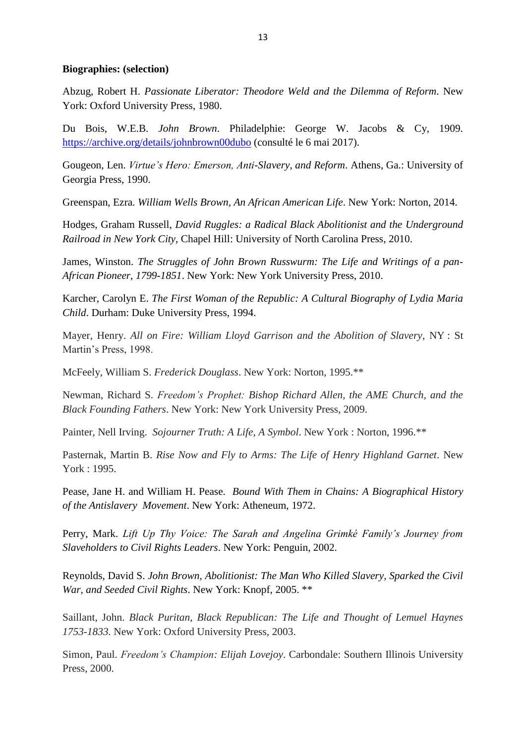### **Biographies: (selection)**

Abzug, Robert H. *Passionate Liberator: Theodore Weld and the Dilemma of Reform*. New York: Oxford University Press, 1980.

Du Bois, W.E.B. *John Brown*. Philadelphie: George W. Jacobs & Cy, 1909. <https://archive.org/details/johnbrown00dubo> (consulté le 6 mai 2017).

Gougeon, Len. *Virtue's Hero: Emerson, Anti-Slavery, and Reform*. Athens, Ga.: University of Georgia Press, 1990.

Greenspan, Ezra. *William Wells Brown, An African American Life*. New York: Norton, 2014.

Hodges, Graham Russell, *David Ruggles: a Radical Black Abolitionist and the Underground Railroad in New York City*, Chapel Hill: University of North Carolina Press, 2010.

James, Winston. *The Struggles of John Brown Russwurm: The Life and Writings of a pan-African Pioneer, 1799-1851*. New York: New York University Press, 2010.

Karcher, Carolyn E. *The First Woman of the Republic: A Cultural Biography of Lydia Maria Child*. Durham: Duke University Press, 1994.

Mayer, Henry. *All on Fire: William Lloyd Garrison and the Abolition of Slavery*, NY : St Martin's Press, 1998.

McFeely, William S. *Frederick Douglass*. New York: Norton, 1995.\*\*

Newman, Richard S. *Freedom's Prophet: Bishop Richard Allen, the AME Church, and the Black Founding Fathers*. New York: New York University Press, 2009.

Painter, Nell Irving. *Sojourner Truth: A Life, A Symbol*. New York : Norton, 1996.\*\*

Pasternak, Martin B. *Rise Now and Fly to Arms: The Life of Henry Highland Garnet*. New York : 1995.

Pease, Jane H. and William H. Pease. *Bound With Them in Chains: A Biographical History of the Antislavery Movement*. New York: Atheneum, 1972.

Perry, Mark. *Lift Up Thy Voice: The Sarah and Angelina Grimké Family's Journey from Slaveholders to Civil Rights Leaders*. New York: Penguin, 2002.

Reynolds, David S. *John Brown, Abolitionist: The Man Who Killed Slavery, Sparked the Civil War, and Seeded Civil Rights*. New York: Knopf, 2005. \*\*

Saillant, John. *Black Puritan, Black Republican: The Life and Thought of Lemuel Haynes 1753-1833.* New York: Oxford University Press, 2003.

Simon, Paul. *Freedom's Champion: Elijah Lovejoy*. Carbondale: Southern Illinois University Press, 2000.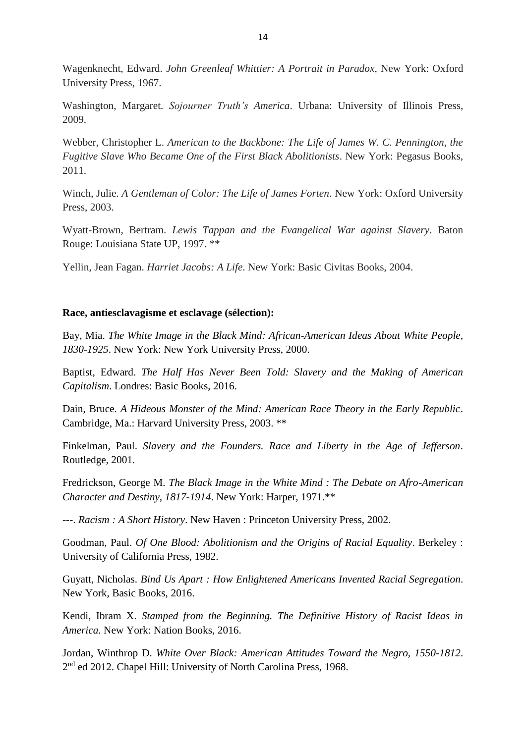Wagenknecht, Edward. *John Greenleaf Whittier: A Portrait in Paradox*, New York: Oxford University Press, 1967.

Washington, Margaret. *Sojourner Truth's America*. Urbana: University of Illinois Press, 2009.

Webber, Christopher L. *American to the Backbone: The Life of James W. C. Pennington, the Fugitive Slave Who Became One of the First Black Abolitionists*. New York: Pegasus Books, 2011.

Winch, Julie. *A Gentleman of Color: The Life of James Forten*. New York: Oxford University Press, 2003.

Wyatt-Brown, Bertram. *Lewis Tappan and the Evangelical War against Slavery*. Baton Rouge: Louisiana State UP, 1997. \*\*

Yellin, Jean Fagan. *Harriet Jacobs: A Life*. New York: Basic Civitas Books, 2004.

## **Race, antiesclavagisme et esclavage (sélection):**

Bay, Mia. *The White Image in the Black Mind: African-American Ideas About White People, 1830-1925*. New York: New York University Press, 2000.

Baptist, Edward. *The Half Has Never Been Told: Slavery and the Making of American Capitalism*. Londres: Basic Books, 2016.

Dain, Bruce. *A Hideous Monster of the Mind: American Race Theory in the Early Republic*. Cambridge, Ma.: Harvard University Press, 2003. \*\*

Finkelman, Paul. *Slavery and the Founders. Race and Liberty in the Age of Jefferson*. Routledge, 2001.

Fredrickson, George M. *The Black Image in the White Mind : The Debate on Afro-American Character and Destiny, 1817-1914*. New York: Harper, 1971.\*\*

---. *Racism : A Short History*. New Haven : Princeton University Press, 2002.

Goodman, Paul. *Of One Blood: Abolitionism and the Origins of Racial Equality*. Berkeley : University of California Press, 1982.

Guyatt, Nicholas. *Bind Us Apart : How Enlightened Americans Invented Racial Segregation*. New York, Basic Books, 2016.

Kendi, Ibram X. *Stamped from the Beginning. The Definitive History of Racist Ideas in America*. New York: Nation Books, 2016.

Jordan, Winthrop D. *White Over Black: American Attitudes Toward the Negro, 1550-1812*. 2<sup>nd</sup> ed 2012. Chapel Hill: University of North Carolina Press, 1968.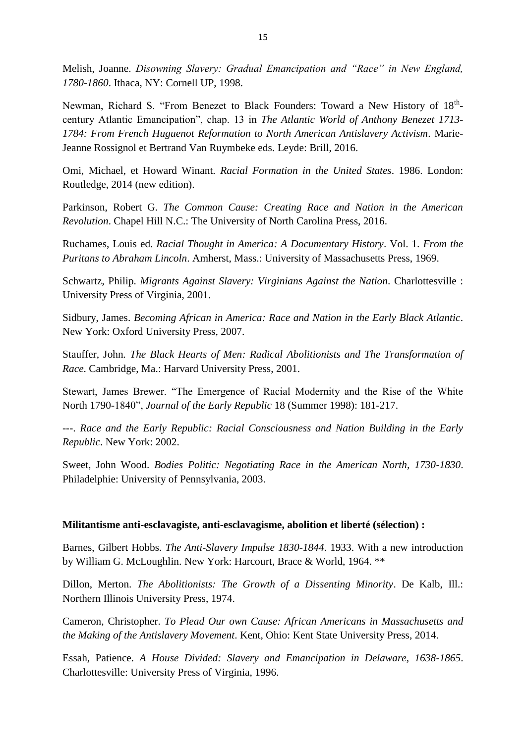Melish, Joanne. *Disowning Slavery: Gradual Emancipation and "Race" in New England, 1780-1860*. Ithaca, NY: Cornell UP, 1998.

Newman, Richard S. "From Benezet to Black Founders: Toward a New History of 18thcentury Atlantic Emancipation", chap. 13 in *The Atlantic World of Anthony Benezet 1713- 1784: From French Huguenot Reformation to North American Antislavery Activism*. Marie-Jeanne Rossignol et Bertrand Van Ruymbeke eds. Leyde: Brill, 2016.

Omi, Michael, et Howard Winant. *Racial Formation in the United States*. 1986. London: Routledge, 2014 (new edition).

Parkinson, Robert G. *The Common Cause: Creating Race and Nation in the American Revolution*. Chapel Hill N.C.: The University of North Carolina Press, 2016.

Ruchames, Louis ed. *Racial Thought in America: A Documentary History*. Vol. 1. *From the Puritans to Abraham Lincoln*. Amherst, Mass.: University of Massachusetts Press, 1969.

Schwartz, Philip. *Migrants Against Slavery: Virginians Against the Nation*. Charlottesville : University Press of Virginia, 2001.

Sidbury, James. *Becoming African in America: Race and Nation in the Early Black Atlantic*. New York: Oxford University Press, 2007.

Stauffer, John*. The Black Hearts of Men: Radical Abolitionists and The Transformation of Race*. Cambridge, Ma.: Harvard University Press, 2001.

Stewart, James Brewer. "The Emergence of Racial Modernity and the Rise of the White North 1790-1840", *Journal of the Early Republic* 18 (Summer 1998): 181-217.

---. *Race and the Early Republic: Racial Consciousness and Nation Building in the Early Republic*. New York: 2002.

Sweet, John Wood. *Bodies Politic: Negotiating Race in the American North, 1730-1830*. Philadelphie: University of Pennsylvania, 2003.

### **Militantisme anti-esclavagiste, anti-esclavagisme, abolition et liberté (sélection) :**

Barnes, Gilbert Hobbs. *The Anti-Slavery Impulse 1830-1844*. 1933. With a new introduction by William G. McLoughlin. New York: Harcourt, Brace & World, 1964. \*\*

Dillon, Merton. *The Abolitionists: The Growth of a Dissenting Minority*. De Kalb, Ill.: Northern Illinois University Press, 1974.

Cameron, Christopher. *To Plead Our own Cause: African Americans in Massachusetts and the Making of the Antislavery Movement*. Kent, Ohio: Kent State University Press, 2014.

Essah, Patience. *A House Divided: Slavery and Emancipation in Delaware, 1638-1865*. Charlottesville: University Press of Virginia, 1996.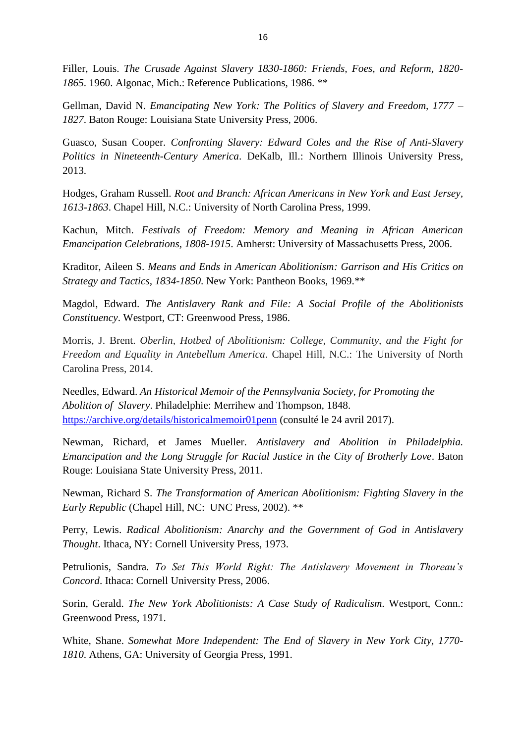Filler, Louis. *The Crusade Against Slavery 1830-1860: Friends, Foes, and Reform, 1820- 1865*. 1960. Algonac, Mich.: Reference Publications, 1986. \*\*

Gellman, David N. *Emancipating New York: The Politics of Slavery and Freedom, 1777 – 1827*. Baton Rouge: Louisiana State University Press, 2006.

Guasco, Susan Cooper. *Confronting Slavery: Edward Coles and the Rise of Anti-Slavery Politics in Nineteenth-Century America*. DeKalb, Ill.: Northern Illinois University Press, 2013.

Hodges, Graham Russell. *Root and Branch: African Americans in New York and East Jersey, 1613-1863*. Chapel Hill, N.C.: University of North Carolina Press, 1999.

Kachun, Mitch. *Festivals of Freedom: Memory and Meaning in African American Emancipation Celebrations, 1808-1915*. Amherst: University of Massachusetts Press, 2006.

Kraditor, Aileen S. *Means and Ends in American Abolitionism: Garrison and His Critics on Strategy and Tactics, 1834-1850*. New York: Pantheon Books, 1969.\*\*

Magdol, Edward. *The Antislavery Rank and File: A Social Profile of the Abolitionists Constituency*. Westport, CT: Greenwood Press, 1986.

Morris, J. Brent. *Oberlin, Hotbed of Abolitionism: College, Community, and the Fight for Freedom and Equality in Antebellum America*. Chapel Hill, N.C.: The University of North Carolina Press, 2014.

Needles, Edward. *An Historical Memoir of the Pennsylvania Society, for Promoting the Abolition of Slavery*. Philadelphie: Merrihew and Thompson, 1848. <https://archive.org/details/historicalmemoir01penn> (consulté le 24 avril 2017).

Newman, Richard, et James Mueller. *Antislavery and Abolition in Philadelphia. Emancipation and the Long Struggle for Racial Justice in the City of Brotherly Love*. Baton Rouge: Louisiana State University Press, 2011.

Newman, Richard S. *The Transformation of American Abolitionism: Fighting Slavery in the Early Republic* (Chapel Hill, NC: UNC Press, 2002). \*\*

Perry, Lewis. *Radical Abolitionism: Anarchy and the Government of God in Antislavery Thought*. Ithaca, NY: Cornell University Press, 1973.

Petrulionis, Sandra. *To Set This World Right: The Antislavery Movement in Thoreau's Concord*. Ithaca: Cornell University Press, 2006.

Sorin, Gerald. *The New York Abolitionists: A Case Study of Radicalism*. Westport, Conn.: Greenwood Press, 1971.

White, Shane. *Somewhat More Independent: The End of Slavery in New York City, 1770- 1810*. Athens, GA: University of Georgia Press, 1991.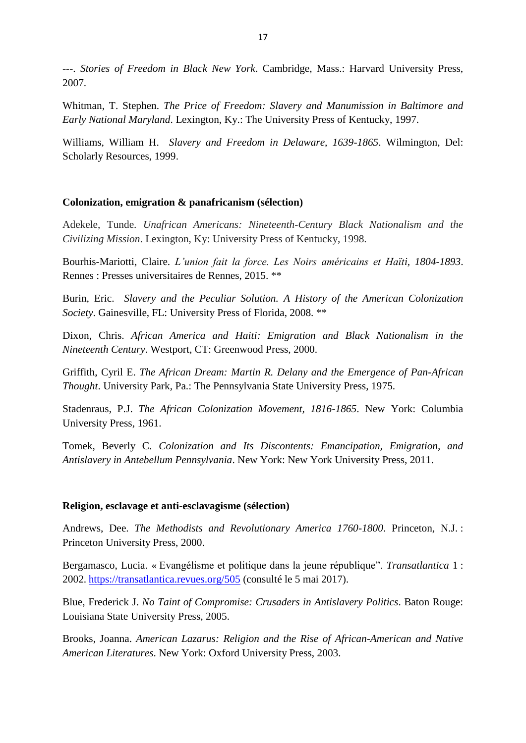---. *Stories of Freedom in Black New York*. Cambridge, Mass.: Harvard University Press, 2007.

Whitman, T. Stephen. *The Price of Freedom: Slavery and Manumission in Baltimore and Early National Maryland*. Lexington, Ky.: The University Press of Kentucky, 1997.

Williams, William H. *Slavery and Freedom in Delaware, 1639-1865*. Wilmington, Del: Scholarly Resources, 1999.

## **Colonization, emigration & panafricanism (sélection)**

Adekele, Tunde. *Unafrican Americans: Nineteenth-Century Black Nationalism and the Civilizing Mission*. Lexington, Ky: University Press of Kentucky, 1998.

Bourhis-Mariotti, Claire. *L'union fait la force. Les Noirs américains et Haïti, 1804-1893*. Rennes : Presses universitaires de Rennes, 2015. \*\*

Burin, Eric. *Slavery and the Peculiar Solution. A History of the American Colonization Society*. Gainesville, FL: University Press of Florida, 2008. \*\*

Dixon, Chris. *African America and Haiti: Emigration and Black Nationalism in the Nineteenth Century*. Westport, CT: Greenwood Press, 2000.

Griffith, Cyril E. *The African Dream: Martin R. Delany and the Emergence of Pan-African Thought*. University Park, Pa.: The Pennsylvania State University Press, 1975.

Stadenraus, P.J. *The African Colonization Movement, 1816-1865*. New York: Columbia University Press, 1961.

Tomek, Beverly C. *Colonization and Its Discontents: Emancipation, Emigration, and Antislavery in Antebellum Pennsylvania*. New York: New York University Press, 2011.

## **Religion, esclavage et anti-esclavagisme (sélection)**

Andrews, Dee. *The Methodists and Revolutionary America 1760-1800*. Princeton, N.J. : Princeton University Press, 2000.

Bergamasco, Lucia. « Evangélisme et politique dans la jeune république". *Transatlantica* 1 : 2002. <https://transatlantica.revues.org/505> (consulté le 5 mai 2017).

Blue, Frederick J. *No Taint of Compromise: Crusaders in Antislavery Politics*. Baton Rouge: Louisiana State University Press, 2005.

Brooks, Joanna. *American Lazarus: Religion and the Rise of African-American and Native American Literatures*. New York: Oxford University Press, 2003.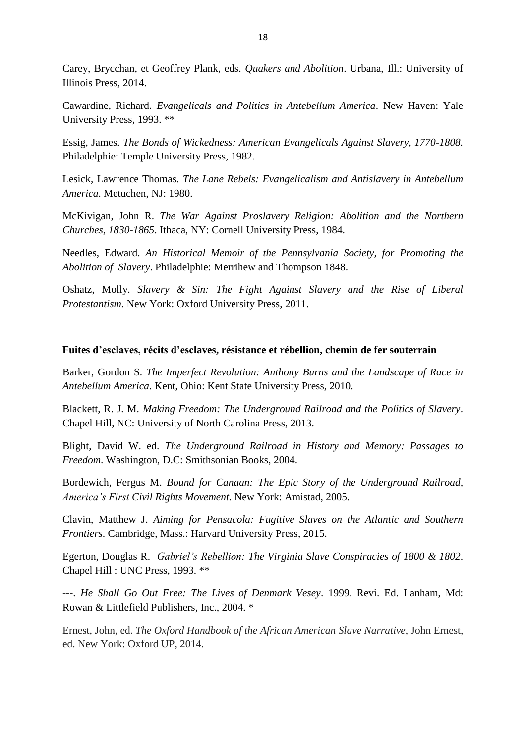Carey, Brycchan, et Geoffrey Plank, eds. *Quakers and Abolition*. Urbana, Ill.: University of Illinois Press, 2014.

Cawardine, Richard. *Evangelicals and Politics in Antebellum America*. New Haven: Yale University Press, 1993. \*\*

Essig, James. *The Bonds of Wickedness: American Evangelicals Against Slavery, 1770-1808.*  Philadelphie: Temple University Press, 1982.

Lesick, Lawrence Thomas. *The Lane Rebels: Evangelicalism and Antislavery in Antebellum America*. Metuchen, NJ: 1980.

McKivigan, John R. *The War Against Proslavery Religion: Abolition and the Northern Churches, 1830-1865*. Ithaca, NY: Cornell University Press, 1984.

Needles, Edward. *An Historical Memoir of the Pennsylvania Society, for Promoting the Abolition of Slavery*. Philadelphie: Merrihew and Thompson 1848.

Oshatz, Molly. *Slavery & Sin: The Fight Against Slavery and the Rise of Liberal Protestantism.* New York: Oxford University Press, 2011.

### **Fuites d'esclaves, récits d'esclaves, résistance et rébellion, chemin de fer souterrain**

Barker, Gordon S. *The Imperfect Revolution: Anthony Burns and the Landscape of Race in Antebellum America*. Kent, Ohio: Kent State University Press, 2010.

Blackett, R. J. M. *Making Freedom: The Underground Railroad and the Politics of Slavery*. Chapel Hill, NC: University of North Carolina Press, 2013.

Blight, David W. ed. *The Underground Railroad in History and Memory: Passages to Freedom*. Washington, D.C: Smithsonian Books, 2004.

Bordewich, Fergus M. *Bound for Canaan: The Epic Story of the Underground Railroad, America's First Civil Rights Movement.* New York: Amistad, 2005.

Clavin, Matthew J. *Aiming for Pensacola: Fugitive Slaves on the Atlantic and Southern Frontiers*. Cambridge, Mass.: Harvard University Press, 2015.

Egerton, Douglas R. *Gabriel's Rebellion: The Virginia Slave Conspiracies of 1800 & 1802*. Chapel Hill : UNC Press, 1993. \*\*

---. *He Shall Go Out Free: The Lives of Denmark Vesey*. 1999. Revi. Ed. Lanham, Md: Rowan & Littlefield Publishers, Inc., 2004. \*

Ernest, John, ed. *The Oxford Handbook of the African American Slave Narrative*, John Ernest, ed. New York: Oxford UP, 2014.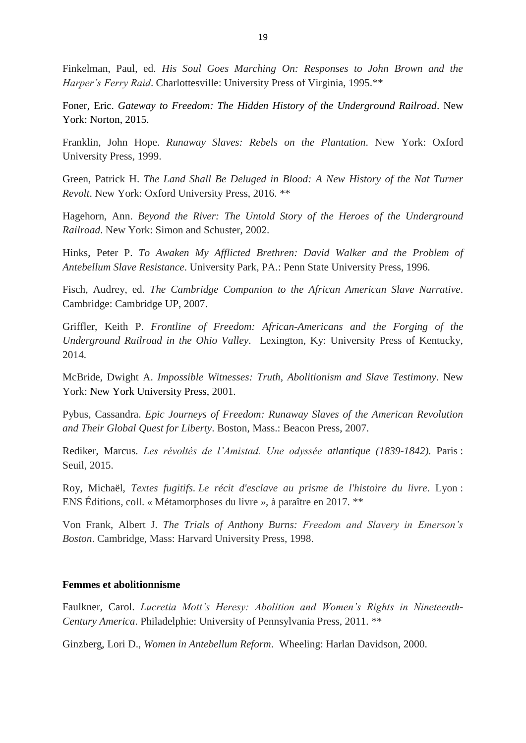Finkelman, Paul, ed. *His Soul Goes Marching On: Responses to John Brown and the Harper's Ferry Raid*. Charlottesville: University Press of Virginia, 1995.\*\*

Foner, Eric. *Gateway to Freedom: The Hidden History of the Underground Railroad*. New York: Norton, 2015.

Franklin, John Hope. *Runaway Slaves: Rebels on the Plantation*. New York: Oxford University Press, 1999.

Green, Patrick H. *The Land Shall Be Deluged in Blood: A New History of the Nat Turner Revolt*. New York: Oxford University Press, 2016. \*\*

Hagehorn, Ann. *Beyond the River: The Untold Story of the Heroes of the Underground Railroad*. New York: Simon and Schuster, 2002.

Hinks, Peter P. *To Awaken My Afflicted Brethren: David Walker and the Problem of Antebellum Slave Resistance*. University Park, PA.: Penn State University Press, 1996.

Fisch, Audrey, ed. *The Cambridge Companion to the African American Slave Narrative*. Cambridge: Cambridge UP, 2007.

Griffler, Keith P. *Frontline of Freedom: African-Americans and the Forging of the Underground Railroad in the Ohio Valley*. Lexington, Ky: University Press of Kentucky, 2014.

McBride, Dwight A. *Impossible Witnesses: Truth, Abolitionism and Slave Testimony*. New York: New York University Press, 2001.

Pybus, Cassandra. *Epic Journeys of Freedom: Runaway Slaves of the American Revolution and Their Global Quest for Liberty*. Boston, Mass.: Beacon Press, 2007.

Rediker, Marcus. *Les révoltés de l'Amistad. Une odyssée atlantique (1839-1842).* Paris : Seuil, 2015.

Roy, Michaël, *Textes fugitifs. Le récit d'esclave au prisme de l'histoire du livre*. Lyon : ENS Éditions, coll. « Métamorphoses du livre », à paraître en 2017. \*\*

Von Frank, Albert J. *The Trials of Anthony Burns: Freedom and Slavery in Emerson's Boston*. Cambridge, Mass: Harvard University Press, 1998.

### **Femmes et abolitionnisme**

Faulkner, Carol. *Lucretia Mott's Heresy: Abolition and Women's Rights in Nineteenth-Century America*. Philadelphie: University of Pennsylvania Press, 2011. \*\*

Ginzberg, Lori D., *Women in Antebellum Reform*. Wheeling: Harlan Davidson, 2000.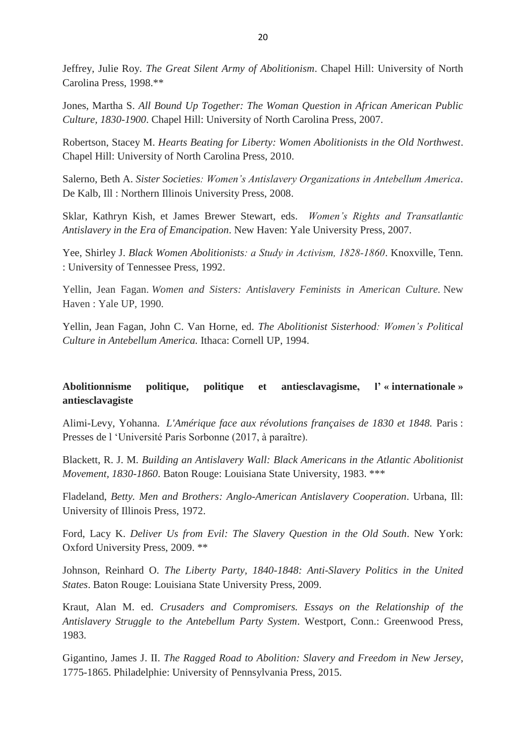Jeffrey, Julie Roy. *The Great Silent Army of Abolitionism*. Chapel Hill: University of North Carolina Press, 1998.\*\*

Jones, Martha S. *All Bound Up Together: The Woman Question in African American Public Culture, 1830-1900*. Chapel Hill: University of North Carolina Press, 2007.

Robertson, Stacey M. *Hearts Beating for Liberty: Women Abolitionists in the Old Northwest*. Chapel Hill: University of North Carolina Press, 2010.

Salerno, Beth A. *Sister Societies: Women's Antislavery Organizations in Antebellum America*. De Kalb, Ill : Northern Illinois University Press, 2008.

Sklar, Kathryn Kish, et James Brewer Stewart, eds. *Women's Rights and Transatlantic Antislavery in the Era of Emancipation*. New Haven: Yale University Press, 2007.

Yee, Shirley J. *Black Women Abolitionists: a Study in Activism, 1828‑1860*. Knoxville, Tenn. : University of Tennessee Press, 1992.

Yellin, Jean Fagan. *Women and Sisters: Antislavery Feminists in American Culture.* New Haven : Yale UP, 1990.

Yellin, Jean Fagan, John C. Van Horne, ed. *The Abolitionist Sisterhood: Women's Political Culture in Antebellum America.* Ithaca: Cornell UP, 1994.

# **Abolitionnisme politique, politique et antiesclavagisme, l' « internationale » antiesclavagiste**

Alimi-Levy, Yohanna. *L'Amérique face aux révolutions françaises de 1830 et 1848.* Paris : Presses de l 'Université Paris Sorbonne (2017, à paraître).

Blackett, R. J. M*. Building an Antislavery Wall: Black Americans in the Atlantic Abolitionist Movement, 1830-1860*. Baton Rouge: Louisiana State University, 1983. \*\*\*

Fladeland, *Betty. Men and Brothers: Anglo-American Antislavery Cooperation*. Urbana, Ill: University of Illinois Press, 1972.

Ford, Lacy K. *Deliver Us from Evil: The Slavery Question in the Old South*. New York: Oxford University Press, 2009. \*\*

Johnson, Reinhard O. *The Liberty Party, 1840-1848: Anti-Slavery Politics in the United States*. Baton Rouge: Louisiana State University Press, 2009.

Kraut, Alan M. ed. *Crusaders and Compromisers. Essays on the Relationship of the Antislavery Struggle to the Antebellum Party System*. Westport, Conn.: Greenwood Press, 1983.

Gigantino, James J. II. *The Ragged Road to Abolition: Slavery and Freedom in New Jersey*, 1775-1865. Philadelphie: University of Pennsylvania Press, 2015.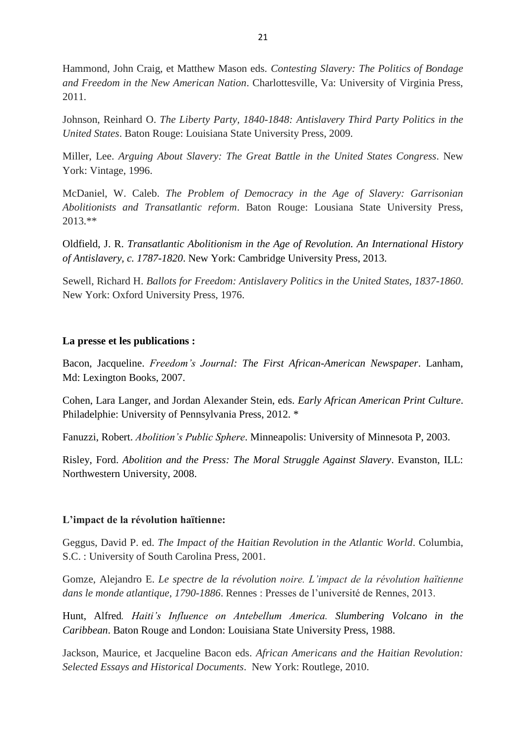Hammond, John Craig, et Matthew Mason eds. *Contesting Slavery: The Politics of Bondage and Freedom in the New American Nation*. Charlottesville, Va: University of Virginia Press, 2011.

Johnson, Reinhard O. *The Liberty Party, 1840-1848: Antislavery Third Party Politics in the United States*. Baton Rouge: Louisiana State University Press, 2009.

Miller, Lee. *Arguing About Slavery: The Great Battle in the United States Congress*. New York: Vintage, 1996.

McDaniel, W. Caleb. *The Problem of Democracy in the Age of Slavery: Garrisonian Abolitionists and Transatlantic reform*. Baton Rouge: Lousiana State University Press, 2013.\*\*

Oldfield, J. R. *Transatlantic Abolitionism in the Age of Revolution. An International History of Antislavery, c. 1787-1820*. New York: Cambridge University Press, 2013.

Sewell, Richard H. *Ballots for Freedom: Antislavery Politics in the United States, 1837-1860*. New York: Oxford University Press, 1976.

## **La presse et les publications :**

Bacon, Jacqueline. *Freedom's Journal: The First African-American Newspaper*. Lanham, Md: Lexington Books, 2007.

Cohen, Lara Langer, and Jordan Alexander Stein, eds. *Early African American Print Culture*. Philadelphie: University of Pennsylvania Press, 2012. \*

Fanuzzi, Robert. *Abolition's Public Sphere*. Minneapolis: University of Minnesota P, 2003.

Risley, Ford. *Abolition and the Press: The Moral Struggle Against Slavery*. Evanston, ILL: Northwestern University, 2008.

### **L'impact de la révolution haïtienne:**

Geggus, David P. ed. *The Impact of the Haitian Revolution in the Atlantic World*. Columbia, S.C. : University of South Carolina Press, 2001.

Gomze, Alejandro E. *Le spectre de la révolution noire. L'impact de la révolution haïtienne dans le monde atlantique, 1790-1886*. Rennes : Presses de l'université de Rennes, 2013.

Hunt, Alfred*. Haiti's Influence on Antebellum America. Slumbering Volcano in the Caribbean*. Baton Rouge and London: Louisiana State University Press, 1988.

Jackson, Maurice, et Jacqueline Bacon eds. *African Americans and the Haitian Revolution: Selected Essays and Historical Documents*. New York: Routlege, 2010.